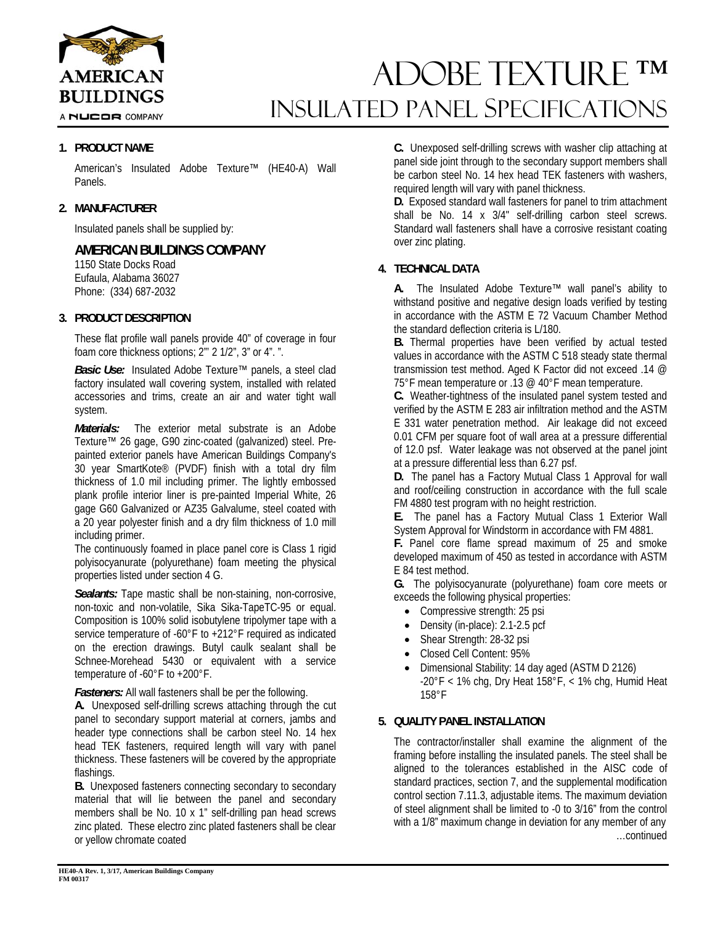

A NUCOR COMPANY

# ADOBE TEXTURE ™ INSULATED Panel Specifications

## **1. PRODUCT NAME**

American's Insulated Adobe Texture™ (HE40-A) Wall Panels.

## **2. MANUFACTURER**

Insulated panels shall be supplied by:

## **AMERICAN BUILDINGS COMPANY**

1150 State Docks Road Eufaula, Alabama 36027 Phone: (334) 687-2032

## **3. PRODUCT DESCRIPTION**

These flat profile wall panels provide 40" of coverage in four foam core thickness options; 2"' 2 1/2", 3" or 4". ".

*Basic Use:* Insulated Adobe Texture™ panels, a steel clad factory insulated wall covering system, installed with related accessories and trims, create an air and water tight wall system.

*Materials:* The exterior metal substrate is an Adobe Texture™ 26 gage, G90 zinc-coated (galvanized) steel. Prepainted exterior panels have American Buildings Company's 30 year SmartKote® (PVDF) finish with a total dry film thickness of 1.0 mil including primer. The lightly embossed plank profile interior liner is pre-painted Imperial White, 26 gage G60 Galvanized or AZ35 Galvalume, steel coated with a 20 year polyester finish and a dry film thickness of 1.0 mill including primer.

The continuously foamed in place panel core is Class 1 rigid polyisocyanurate (polyurethane) foam meeting the physical properties listed under section 4 G.

*Sealants:* Tape mastic shall be non-staining, non-corrosive, non-toxic and non-volatile, Sika Sika-TapeTC-95 or equal. Composition is 100% solid isobutylene tripolymer tape with a service temperature of -60°F to +212°F required as indicated on the erection drawings. Butyl caulk sealant shall be Schnee-Morehead 5430 or equivalent with a service temperature of -60°F to +200°F.

*Fasteners:* All wall fasteners shall be per the following.

**A.** Unexposed self-drilling screws attaching through the cut panel to secondary support material at corners, jambs and header type connections shall be carbon steel No. 14 hex head TEK fasteners, required length will vary with panel thickness. These fasteners will be covered by the appropriate flashings.

**B.** Unexposed fasteners connecting secondary to secondary material that will lie between the panel and secondary members shall be No. 10 x 1" self-drilling pan head screws zinc plated. These electro zinc plated fasteners shall be clear or yellow chromate coated

**C.** Unexposed self-drilling screws with washer clip attaching at panel side joint through to the secondary support members shall be carbon steel No. 14 hex head TEK fasteners with washers, required length will vary with panel thickness.

**D.** Exposed standard wall fasteners for panel to trim attachment shall be No. 14 x 3/4" self-drilling carbon steel screws. Standard wall fasteners shall have a corrosive resistant coating over zinc plating.

## **4. TECHNICAL DATA**

**A.** The Insulated Adobe Texture™ wall panel's ability to withstand positive and negative design loads verified by testing in accordance with the ASTM E 72 Vacuum Chamber Method the standard deflection criteria is L/180.

**B.** Thermal properties have been verified by actual tested values in accordance with the ASTM C 518 steady state thermal transmission test method. Aged K Factor did not exceed .14 @ 75°F mean temperature or .13 @ 40°F mean temperature.

**C.** Weather-tightness of the insulated panel system tested and verified by the ASTM E 283 air infiltration method and the ASTM E 331 water penetration method. Air leakage did not exceed 0.01 CFM per square foot of wall area at a pressure differential of 12.0 psf. Water leakage was not observed at the panel joint at a pressure differential less than 6.27 psf.

**D.** The panel has a Factory Mutual Class 1 Approval for wall and roof/ceiling construction in accordance with the full scale FM 4880 test program with no height restriction.

**E.** The panel has a Factory Mutual Class 1 Exterior Wall System Approval for Windstorm in accordance with FM 4881.

**F.** Panel core flame spread maximum of 25 and smoke developed maximum of 450 as tested in accordance with ASTM E 84 test method.

**G.** The polyisocyanurate (polyurethane) foam core meets or exceeds the following physical properties:

- Compressive strength: 25 psi
- Density (in-place): 2.1-2.5 pcf
- Shear Strength: 28-32 psi
- Closed Cell Content: 95%
- Dimensional Stability: 14 day aged (ASTM D 2126)  $-20^{\circ}$ F < 1% chg, Dry Heat 158°F, < 1% chg, Humid Heat 158°F

#### **5. QUALITY PANEL INSTALLATION**

The contractor/installer shall examine the alignment of the framing before installing the insulated panels. The steel shall be aligned to the tolerances established in the AISC code of standard practices, section 7, and the supplemental modification control section 7.11.3, adjustable items. The maximum deviation of steel alignment shall be limited to -0 to 3/16" from the control with a 1/8" maximum change in deviation for any member of any …continued